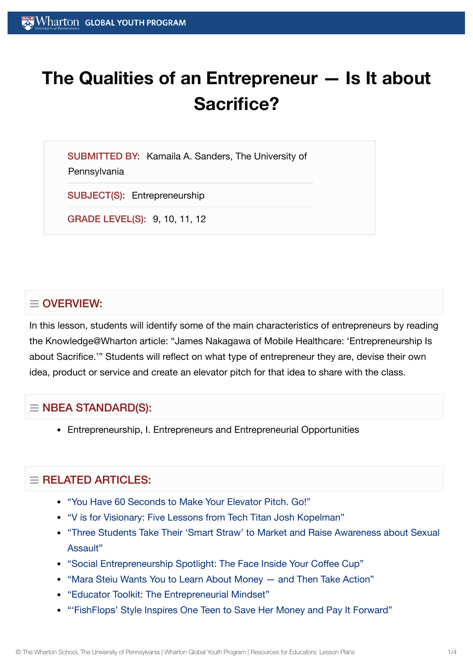# **The Qualities of an Entrepreneur — Is It about Sacrifice?**

SUBMITTED BY: Kamaila A. Sanders, The University of **Pennsylvania** 

SUBJECT(S): Entrepreneurship

GRADE LEVEL(S): 9, 10, 11, 12

# $\equiv$  OVERVIEW:

In this lesson, students will identify some of the main characteristics of entrepreneurs by reading the Knowledge@Wharton article: "James Nakagawa of Mobile Healthcare: 'Entrepreneurship Is about Sacrifice.'" Students will reflect on what type of entrepreneur they are, devise their own idea, product or service and create an elevator pitch for that idea to share with the class.

## $\equiv$  NBEA STANDARD(S):

Entrepreneurship, I. Entrepreneurs and Entrepreneurial Opportunities

# $=$  RELATED ARTICLES:

- "You Have 60 [Seconds to](https://globalyouth.wharton.upenn.edu/articles/60-second-elevator-pitch/) Make Your Elevator Pitch. Go!"
- "V is for Visionary: Five [Lessons from](https://globalyouth.wharton.upenn.edu/articles/v-is-for-visionary-five-lessons-from-tech-titan-josh-kopelman/) Tech Titan Josh Kopelman"
- "Three Students Take Their 'Smart Straw' to Market and Raise [Awareness about](https://globalyouth.wharton.upenn.edu/articles/three-students-take-smart-straws-market-raise-awareness-sexual-assault/) Sexual Assault"
- "Social [Entrepreneurship](https://globalyouth.wharton.upenn.edu/articles/social-entrepreneurship-spotlight-the-face-inside-your-coffee-cup/) Spotlight: The Face Inside Your Coffee Cup"
- "Mara Steiu Wants You to Learn About [Money and](https://globalyouth.wharton.upenn.edu/articles/learn_about_money/) Then Take Action"
- "Educator Toolkit: The [Entrepreneurial](https://globalyouth.wharton.upenn.edu/articles/educator-toolkit-entrepreneurial-mindset/) Mindset"
- "'FishFlops' Style [Inspires One](https://globalyouth.wharton.upenn.edu/articles/fishflops-style-inspires-one-teen-to-save-her-money-and-pay-it-forward/) Teen to Save Her Money and Pay It Forward"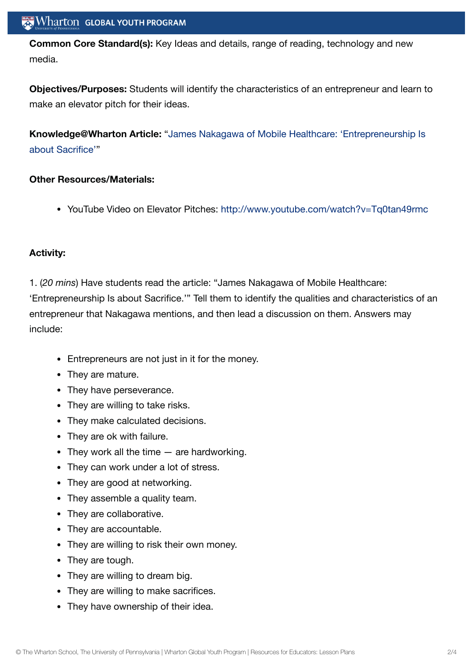**Common Core Standard(s):** Key Ideas and details, range of reading, technology and new media.

**Objectives/Purposes:** Students will identify the characteristics of an entrepreneur and learn to make an elevator pitch for their ideas.

**[Knowledge@Wharton](http://knowledge.wharton.upenn.edu/arabic/article.cfm?articleid=2675) Article:** "James Nakagawa of Mobile Healthcare: 'Entrepreneurship Is about Sacrifice'"

#### **Other Resources/Materials:**

YouTube Video on Elevator Pitches: <http://www.youtube.com/watch?v=Tq0tan49rmc>

## **Activity:**

1. (*20 mins*) Have students read the article: "James Nakagawa of Mobile Healthcare: 'Entrepreneurship Is about Sacrifice.'" Tell them to identify the qualities and characteristics of an entrepreneur that Nakagawa mentions, and then lead a discussion on them. Answers may include:

- Entrepreneurs are not just in it for the money.
- They are mature.
- They have perseverance.
- They are willing to take risks.
- They make calculated decisions.
- They are ok with failure.
- They work all the time  $-$  are hardworking.
- They can work under a lot of stress.
- They are good at networking.
- They assemble a quality team.
- They are collaborative.
- They are accountable.
- They are willing to risk their own money.
- They are tough.
- They are willing to dream big.
- They are willing to make sacrifices.
- They have ownership of their idea.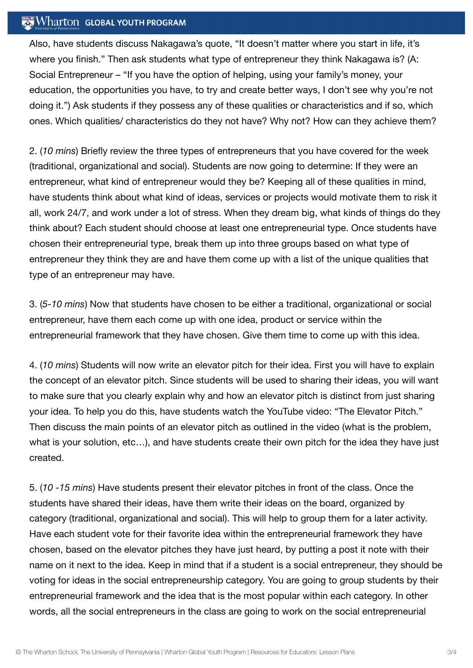## $\mathbb{R}$  Wharton Global Youth Program

Also, have students discuss Nakagawa's quote, "It doesn't matter where you start in life, it's where you finish." Then ask students what type of entrepreneur they think Nakagawa is? (A: Social Entrepreneur – "If you have the option of helping, using your family's money, your education, the opportunities you have, to try and create better ways, I don't see why you're not doing it.") Ask students if they possess any of these qualities or characteristics and if so, which ones. Which qualities/ characteristics do they not have? Why not? How can they achieve them?

2. (*10 mins*) Briefly review the three types of entrepreneurs that you have covered for the week (traditional, organizational and social). Students are now going to determine: If they were an entrepreneur, what kind of entrepreneur would they be? Keeping all of these qualities in mind, have students think about what kind of ideas, services or projects would motivate them to risk it all, work 24/7, and work under a lot of stress. When they dream big, what kinds of things do they think about? Each student should choose at least one entrepreneurial type. Once students have chosen their entrepreneurial type, break them up into three groups based on what type of entrepreneur they think they are and have them come up with a list of the unique qualities that type of an entrepreneur may have.

3. (*5-10 mins*) Now that students have chosen to be either a traditional, organizational or social entrepreneur, have them each come up with one idea, product or service within the entrepreneurial framework that they have chosen. Give them time to come up with this idea.

4. (*10 mins*) Students will now write an elevator pitch for their idea. First you will have to explain the concept of an elevator pitch. Since students will be used to sharing their ideas, you will want to make sure that you clearly explain why and how an elevator pitch is distinct from just sharing your idea. To help you do this, have students watch the YouTube video: "The Elevator Pitch." Then discuss the main points of an elevator pitch as outlined in the video (what is the problem, what is your solution, etc...), and have students create their own pitch for the idea they have just created.

5. (*10 -15 mins*) Have students present their elevator pitches in front of the class. Once the students have shared their ideas, have them write their ideas on the board, organized by category (traditional, organizational and social). This will help to group them for a later activity. Have each student vote for their favorite idea within the entrepreneurial framework they have chosen, based on the elevator pitches they have just heard, by putting a post it note with their name on it next to the idea. Keep in mind that if a student is a social entrepreneur, they should be voting for ideas in the social entrepreneurship category. You are going to group students by their entrepreneurial framework and the idea that is the most popular within each category. In other words, all the social entrepreneurs in the class are going to work on the social entrepreneurial